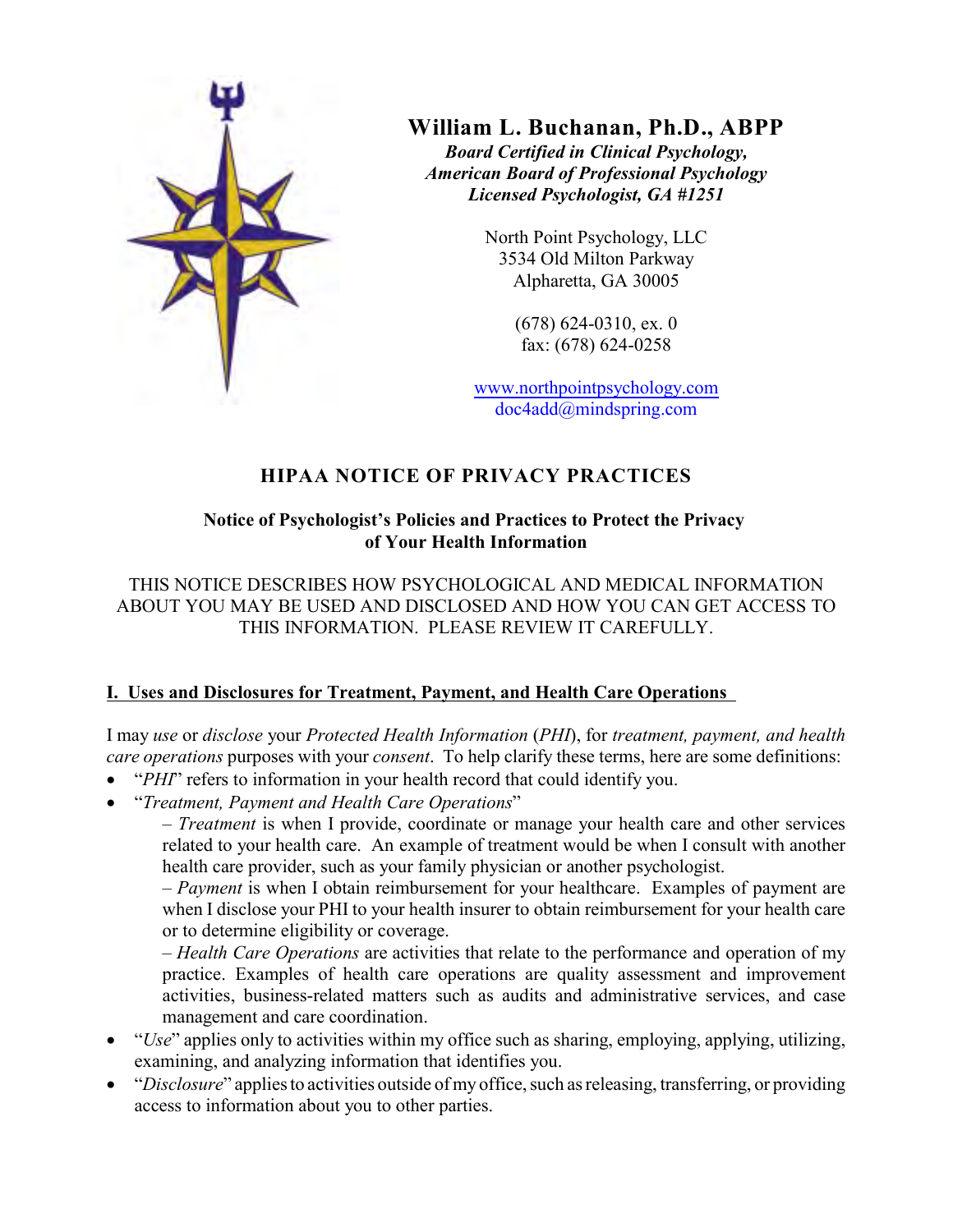

**William L. Buchanan, Ph.D., ABPP** *Board Certified in Clinical Psychology, American Board of Professional Psychology Licensed Psychologist, GA #1251*

> North Point Psychology, LLC 3534 Old Milton Parkway Alpharetta, GA 30005

> > (678) 624-0310, ex. 0 fax: (678) 624-0258

www.northpointpsychology.com doc4add@mindspring.com

# **HIPAA NOTICE OF PRIVACY PRACTICES**

# **Notice of Psychologist's Policies and Practices to Protect the Privacy of Your Health Information**

THIS NOTICE DESCRIBES HOW PSYCHOLOGICAL AND MEDICAL INFORMATION ABOUT YOU MAY BE USED AND DISCLOSED AND HOW YOU CAN GET ACCESS TO THIS INFORMATION. PLEASE REVIEW IT CAREFULLY.

# **I. Uses and Disclosures for Treatment, Payment, and Health Care Operations**

I may *use* or *disclose* your *Protected Health Information* (*PHI*), for *treatment, payment, and health care operations* purposes with your *consent*. To help clarify these terms, here are some definitions:

"*PHI*" refers to information in your health record that could identify you.

"*Treatment, Payment and Health Care Operations*"

– *Treatment* is when I provide, coordinate or manage your health care and other services related to your health care. An example of treatment would be when I consult with another health care provider, such as your family physician or another psychologist.

– *Payment* is when I obtain reimbursement for your healthcare. Examples of payment are when I disclose your PHI to your health insurer to obtain reimbursement for your health care or to determine eligibility or coverage.

– *Health Care Operations* are activities that relate to the performance and operation of my practice. Examples of health care operations are quality assessment and improvement activities, business-related matters such as audits and administrative services, and case management and care coordination.

"*Use*" applies only to activities within my office such as sharing, employing, applying, utilizing, examining, and analyzing information that identifies you.

"*Disclosure*" applies to activities outside of my office, such as releasing, transferring, or providing access to information about you to other parties.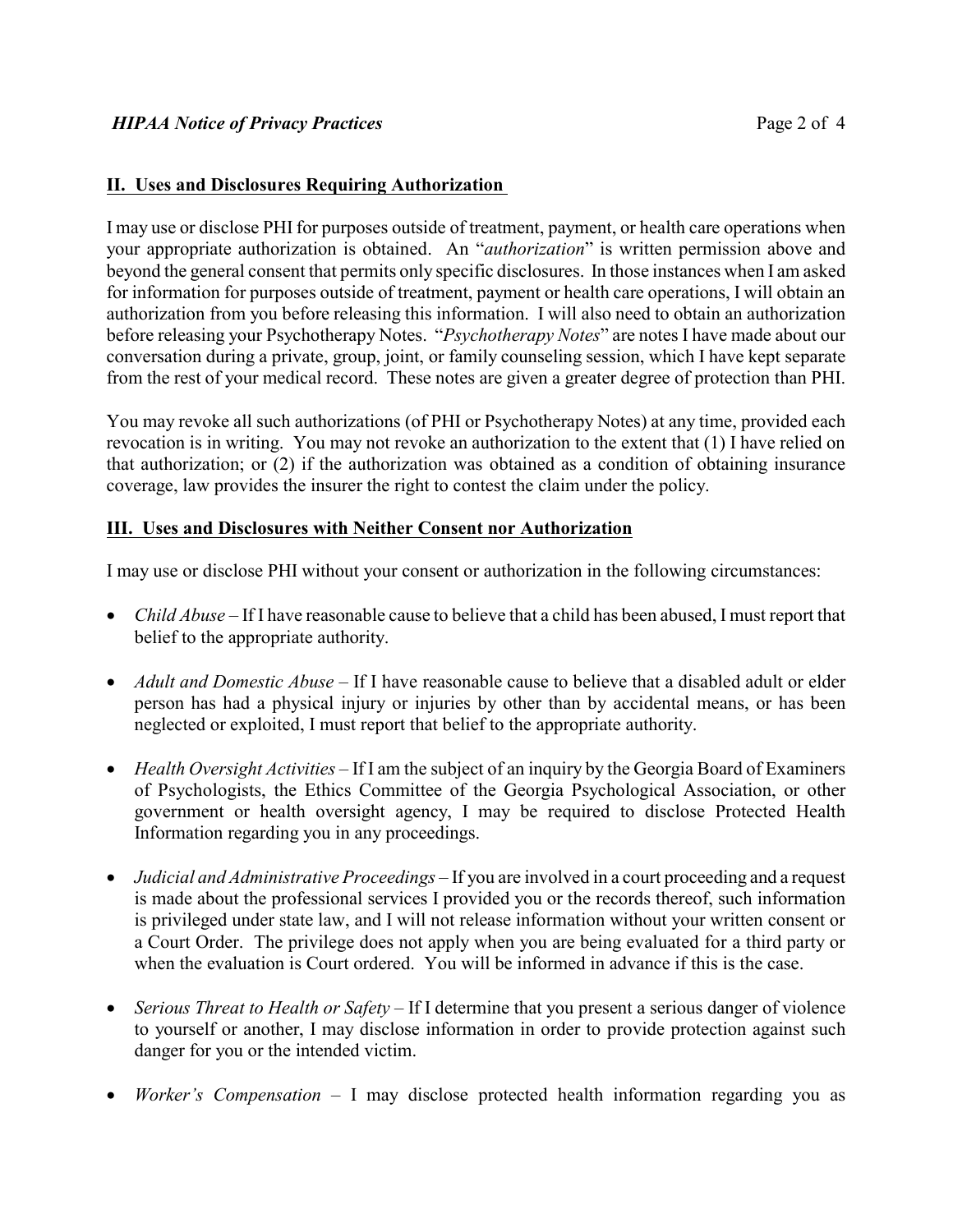#### **II. Uses and Disclosures Requiring Authorization**

I may use or disclose PHI for purposes outside of treatment, payment, or health care operations when your appropriate authorization is obtained. An "*authorization*" is written permission above and beyond the general consent that permits only specific disclosures. In those instances when I am asked for information for purposes outside of treatment, payment or health care operations, I will obtain an authorization from you before releasing this information. I will also need to obtain an authorization before releasing your Psychotherapy Notes. "*Psychotherapy Notes*" are notes I have made about our conversation during a private, group, joint, or family counseling session, which I have kept separate from the rest of your medical record. These notes are given a greater degree of protection than PHI.

You may revoke all such authorizations (of PHI or Psychotherapy Notes) at any time, provided each revocation is in writing. You may not revoke an authorization to the extent that (1) I have relied on that authorization; or (2) if the authorization was obtained as a condition of obtaining insurance coverage, law provides the insurer the right to contest the claim under the policy.

#### **III. Uses and Disclosures with Neither Consent nor Authorization**

I may use or disclose PHI without your consent or authorization in the following circumstances:

*Child Abuse* – If I have reasonable cause to believe that a child has been abused, I must report that belief to the appropriate authority.

*Adult and Domestic Abuse* – If I have reasonable cause to believe that a disabled adult or elder person has had a physical injury or injuries by other than by accidental means, or has been neglected or exploited, I must report that belief to the appropriate authority.

*Health Oversight Activities* – If I am the subject of an inquiry by the Georgia Board of Examiners of Psychologists, the Ethics Committee of the Georgia Psychological Association, or other government or health oversight agency, I may be required to disclose Protected Health Information regarding you in any proceedings.

*Judicial and Administrative Proceedings* – If you are involved in a court proceeding and a request is made about the professional services I provided you or the records thereof, such information is privileged under state law, and I will not release information without your written consent or a Court Order. The privilege does not apply when you are being evaluated for a third party or when the evaluation is Court ordered. You will be informed in advance if this is the case.

*Serious Threat to Health or Safety* – If I determine that you present a serious danger of violence to yourself or another, I may disclose information in order to provide protection against such danger for you or the intended victim.

*Worker's Compensation* – I may disclose protected health information regarding you as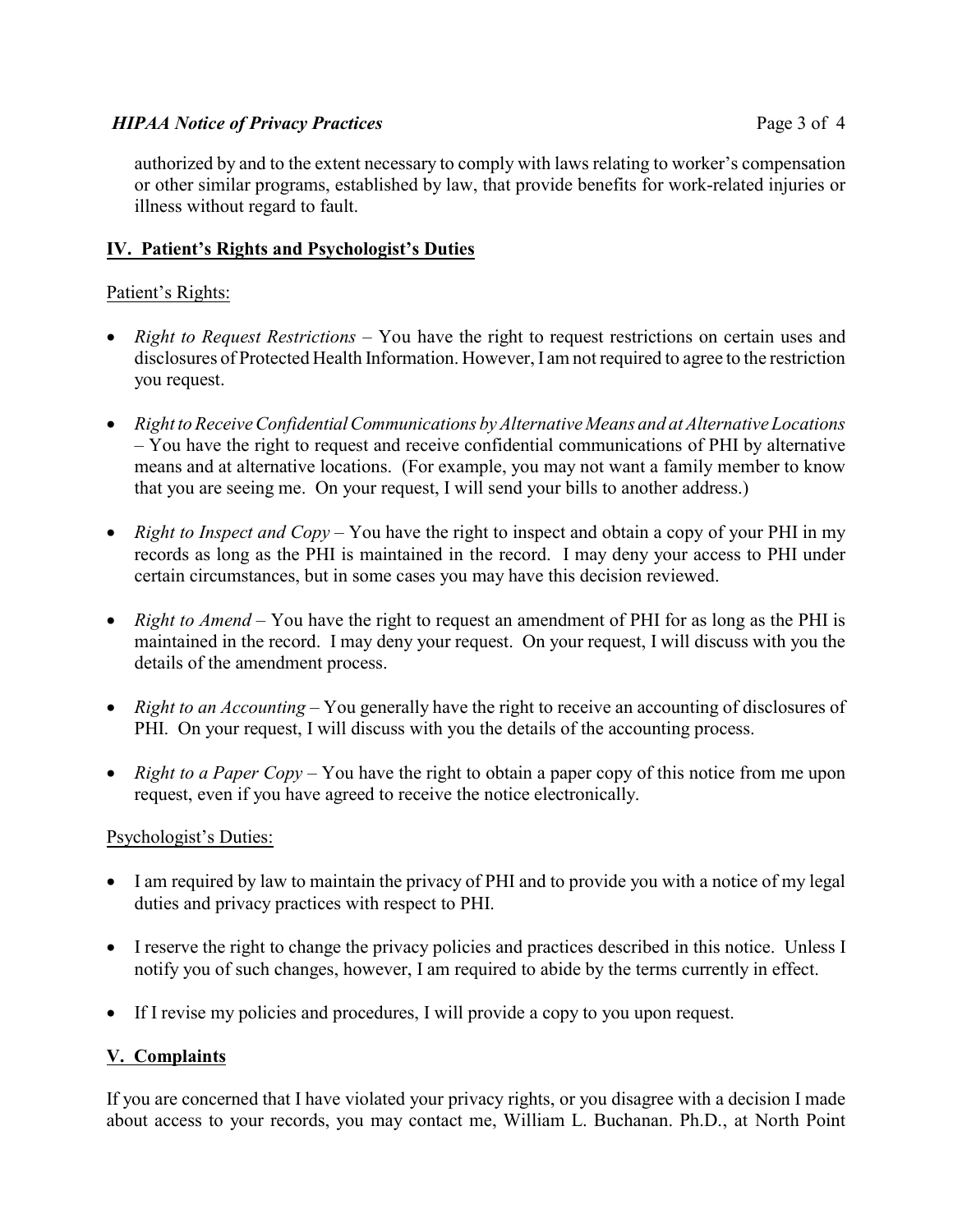# *HIPAA Notice of Privacy Practices* Page 3 of 4

# **IV. Patient's Rights and Psychologist's Duties**

# Patient's Rights:

*Right to Request Restrictions* – You have the right to request restrictions on certain uses and disclosures of Protected Health Information. However, I am not required to agree to the restriction you request.

*Right to ReceiveConfidential Communications by Alternative Means and at Alternative Locations* – You have the right to request and receive confidential communications of PHI by alternative means and at alternative locations. (For example, you may not want a family member to know that you are seeing me. On your request, I will send your bills to another address.)

*Right to Inspect and Copy* – You have the right to inspect and obtain a copy of your PHI in my records as long as the PHI is maintained in the record. I may deny your access to PHI under certain circumstances, but in some cases you may have this decision reviewed.

*Right to Amend* – You have the right to request an amendment of PHI for as long as the PHI is maintained in the record. I may deny your request. On your request, I will discuss with you the details of the amendment process.

*Right to an Accounting* – You generally have the right to receive an accounting of disclosures of PHI. On your request, I will discuss with you the details of the accounting process.

*Right to a Paper Copy* – You have the right to obtain a paper copy of this notice from me upon request, even if you have agreed to receive the notice electronically.

# Psychologist's Duties:

I am required by law to maintain the privacy of PHI and to provide you with a notice of my legal duties and privacy practices with respect to PHI.

I reserve the right to change the privacy policies and practices described in this notice. Unless I notify you of such changes, however, I am required to abide by the terms currently in effect.

If I revise my policies and procedures, I will provide a copy to you upon request.

# **V. Complaints**

If you are concerned that I have violated your privacy rights, or you disagree with a decision I made about access to your records, you may contact me, William L. Buchanan. Ph.D., at North Point